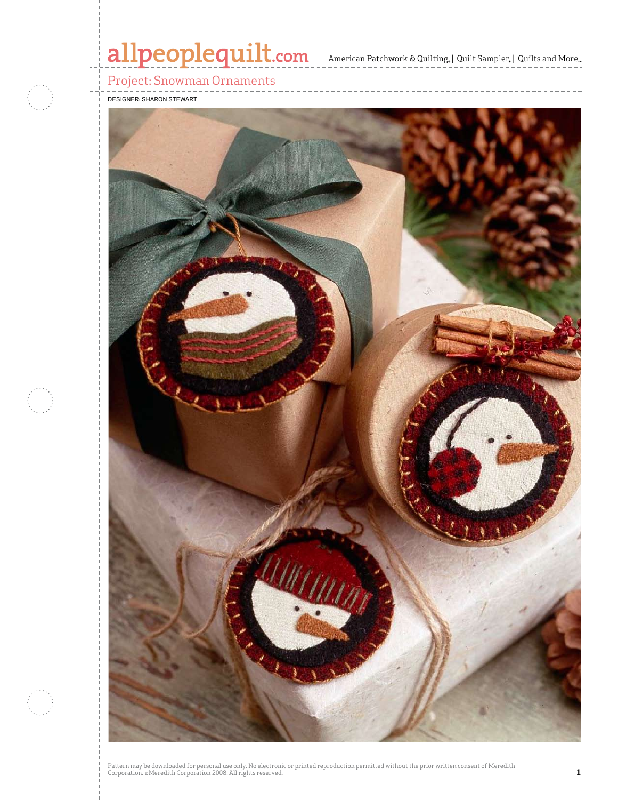# allpeoplequilt.com<br>American Patchwork & Quilting, | Quilt Sampler, | Quilts and More..

Project: Snowman Ornaments

Designer: Sharon Stewart



Pattern may be downloaded for personal use only. No electronic or printed reproduction permitted without the prior written consent of Meredith<br>Corporation. ©Meredith Corporation 2008. All rights reserved.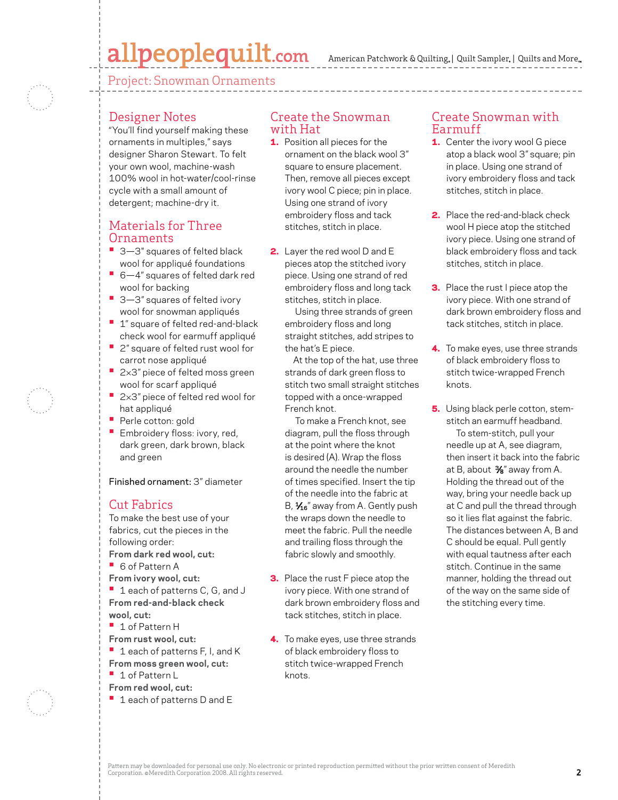## allpeoplequilt.com

Project: Snowman Ornaments

### Designer Notes

"You'll find yourself making these ornaments in multiples," says designer Sharon Stewart. To felt your own wool, machine-wash 100% wool in hot-water/cool-rinse cycle with a small amount of detergent; machine-dry it.

### Materials for Three Ornaments

- 3-3" squares of felted black wool for appliqué foundations
- 6-4" squares of felted dark red wool for backing
- 3-3" squares of felted ivory wool for snowman appliqués
- **1**" square of felted red-and-black check wool for earmuff appliqué
- **•**  2" square of felted rust wool for carrot nose appliqué
- 2×3" piece of felted moss green wool for scarf appliqué
- 2×3" piece of felted red wool for hat appliqué
- **•**  Perle cotton: gold
- **•** Embroidery floss: ivory, red, dark green, dark brown, black and green

Finished ornament: 3" diameter

### Cut Fabrics

To make the best use of your fabrics, cut the pieces in the following order: **From dark red wool, cut: •**  6 of Pattern A **From ivory wool, cut: •**  1 each of patterns C, G, and J **From red-and-black check wool, cut: •**  1 of Pattern H **From rust wool, cut: • 1** each of patterns F, I, and K **From moss green wool, cut: •**  1 of Pattern L

- **From red wool, cut:**
- 1 each of patterns D and E

#### Create the Snowman with Hat

- 1. Position all pieces for the ornament on the black wool 3" square to ensure placement. Then, remove all pieces except ivory wool C piece; pin in place. Using one strand of ivory embroidery floss and tack stitches, stitch in place.
- 2. Layer the red wool D and E pieces atop the stitched ivory piece. Using one strand of red embroidery floss and long tack stitches, stitch in place.

 Using three strands of green embroidery floss and long straight stitches, add stripes to the hat's E piece.

 At the top of the hat, use three strands of dark green floss to stitch two small straight stitches topped with a once-wrapped French knot.

 To make a French knot, see diagram, pull the floss through at the point where the knot is desired (A). Wrap the floss around the needle the number of times specified. Insert the tip of the needle into the fabric at B,  $\frac{1}{16}$ " away from A. Gently push the wraps down the needle to meet the fabric. Pull the needle and trailing floss through the fabric slowly and smoothly.

- **3.** Place the rust F piece atop the ivory piece. With one strand of dark brown embroidery floss and tack stitches, stitch in place.
- 4. To make eyes, use three strands of black embroidery floss to stitch twice-wrapped French knots.

#### Create Snowman with Earmuff

- **1.** Center the ivory wool G piece atop a black wool 3" square; pin in place. Using one strand of ivory embroidery floss and tack stitches, stitch in place.
- 2. Place the red-and-black check wool H piece atop the stitched ivory piece. Using one strand of black embroidery floss and tack stitches, stitch in place.
- **3.** Place the rust I piece atop the ivory piece. With one strand of dark brown embroidery floss and tack stitches, stitch in place.
- 4. To make eyes, use three strands of black embroidery floss to stitch twice-wrapped French knots.
- **5.** Using black perle cotton, stemstitch an earmuff headband. To stem-stitch, pull your needle up at A, see diagram, then insert it back into the fabric at B, about 3⁄8" away from A. Holding the thread out of the way, bring your needle back up at C and pull the thread through so it lies flat against the fabric. The distances between A, B and C should be equal. Pull gently with equal tautness after each stitch. Continue in the same manner, holding the thread out of the way on the same side of the stitching every time.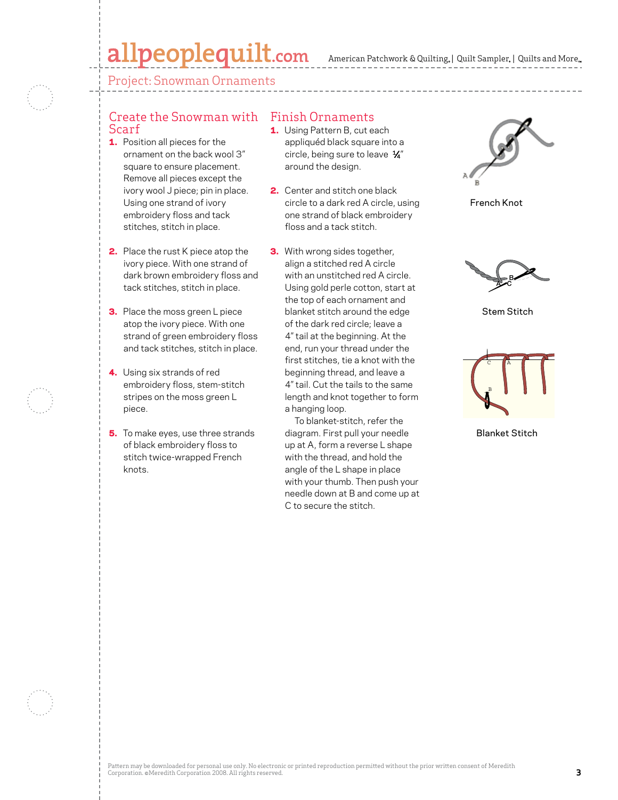## allpeoplequilt.com

American Patchwork & Quilting,  $|$  Quilt Sampler,  $|$  Quilts and More,

Project: Snowman Ornaments

#### Create the Snowman with Finish Ornaments Scarf

- 1. Position all pieces for the ornament on the back wool 3" square to ensure placement. Remove all pieces except the ivory wool J piece; pin in place. Using one strand of ivory embroidery floss and tack stitches, stitch in place.
- 2. Place the rust K piece atop the ivory piece. With one strand of dark brown embroidery floss and tack stitches, stitch in place.
- **3.** Place the moss green L piece atop the ivory piece. With one strand of green embroidery floss and tack stitches, stitch in place.
- 4. Using six strands of red embroidery floss, stem-stitch stripes on the moss green L piece.
- **5.** To make eyes, use three strands of black embroidery floss to stitch twice-wrapped French knots.

- **1.** Using Pattern B, cut each appliquéd black square into a circle, being sure to leave  $\frac{1}{4}$ " around the design.
- 2. Center and stitch one black circle to a dark red A circle, using one strand of black embroidery floss and a tack stitch.
- **3.** With wrong sides together, align a stitched red A circle with an unstitched red A circle. Using gold perle cotton, start at the top of each ornament and blanket stitch around the edge of the dark red circle; leave a 4" tail at the beginning. At the end, run your thread under the first stitches, tie a knot with the beginning thread, and leave a 4" tail. Cut the tails to the same length and knot together to form a hanging loop.

 To blanket-stitch, refer the diagram. First pull your needle up at A, form a reverse L shape with the thread, and hold the angle of the L shape in place with your thumb. Then push your needle down at B and come up at C to secure the stitch.



French Knot



Stem Stitch



Blanket Stitch Blanket Stitch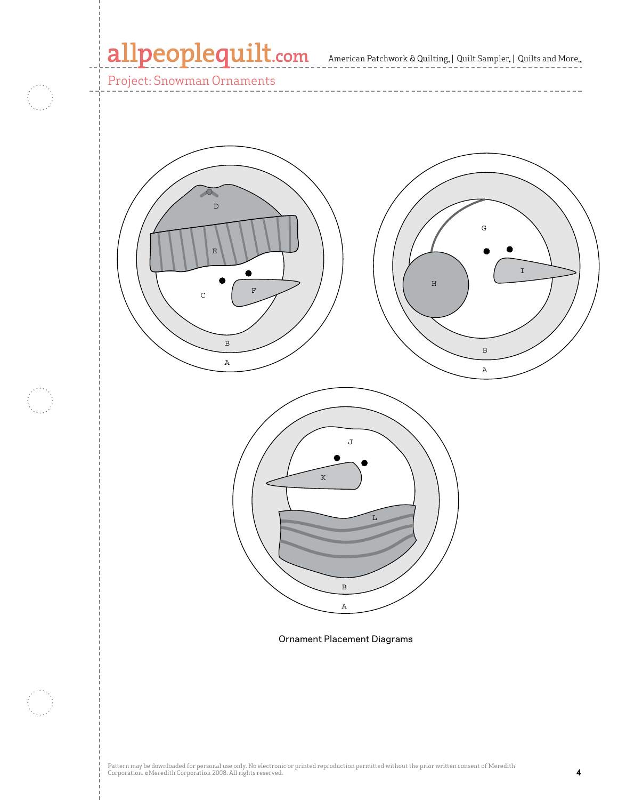American Patchwork & Quilting, | Quilt Sampler, | Quilts and More

Project: Snowman Ornaments



Ornament Placement Diagrams

B

A